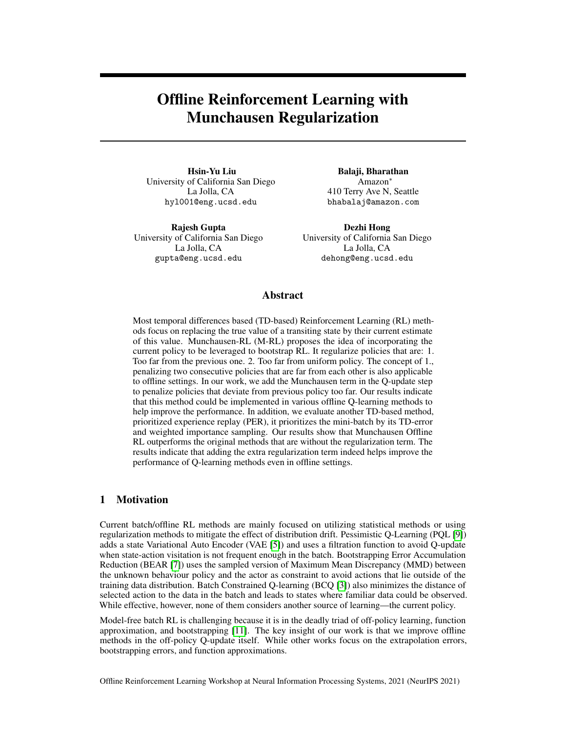# Offline Reinforcement Learning with Munchausen Regularization

Hsin-Yu Liu University of California San Diego La Jolla, CA hyl001@eng.ucsd.edu

Rajesh Gupta University of California San Diego La Jolla, CA gupta@eng.ucsd.edu

Balaji, Bharathan Amazon<sup>∗</sup> 410 Terry Ave N, Seattle bhabalaj@amazon.com

Dezhi Hong University of California San Diego La Jolla, CA dehong@eng.ucsd.edu

# Abstract

Most temporal differences based (TD-based) Reinforcement Learning (RL) methods focus on replacing the true value of a transiting state by their current estimate of this value. Munchausen-RL (M-RL) proposes the idea of incorporating the current policy to be leveraged to bootstrap RL. It regularize policies that are: 1. Too far from the previous one. 2. Too far from uniform policy. The concept of 1., penalizing two consecutive policies that are far from each other is also applicable to offline settings. In our work, we add the Munchausen term in the Q-update step to penalize policies that deviate from previous policy too far. Our results indicate that this method could be implemented in various offline Q-learning methods to help improve the performance. In addition, we evaluate another TD-based method, prioritized experience replay (PER), it prioritizes the mini-batch by its TD-error and weighted importance sampling. Our results show that Munchausen Offline RL outperforms the original methods that are without the regularization term. The results indicate that adding the extra regularization term indeed helps improve the performance of Q-learning methods even in offline settings.

# 1 Motivation

Current batch/offline RL methods are mainly focused on utilizing statistical methods or using regularization methods to mitigate the effect of distribution drift. Pessimistic Q-Learning (PQL [\[9\]](#page-5-0)) adds a state Variational Auto Encoder (VAE [\[5\]](#page-5-1)) and uses a filtration function to avoid Q-update when state-action visitation is not frequent enough in the batch. Bootstrapping Error Accumulation Reduction (BEAR [\[7\]](#page-5-2)) uses the sampled version of Maximum Mean Discrepancy (MMD) between the unknown behaviour policy and the actor as constraint to avoid actions that lie outside of the training data distribution. Batch Constrained Q-learning (BCQ [\[3\]](#page-5-3)) also minimizes the distance of selected action to the data in the batch and leads to states where familiar data could be observed. While effective, however, none of them considers another source of learning—the current policy.

Model-free batch RL is challenging because it is in the deadly triad of off-policy learning, function approximation, and bootstrapping [\[11\]](#page-5-4). The key insight of our work is that we improve offline methods in the off-policy Q-update itself. While other works focus on the extrapolation errors, bootstrapping errors, and function approximations.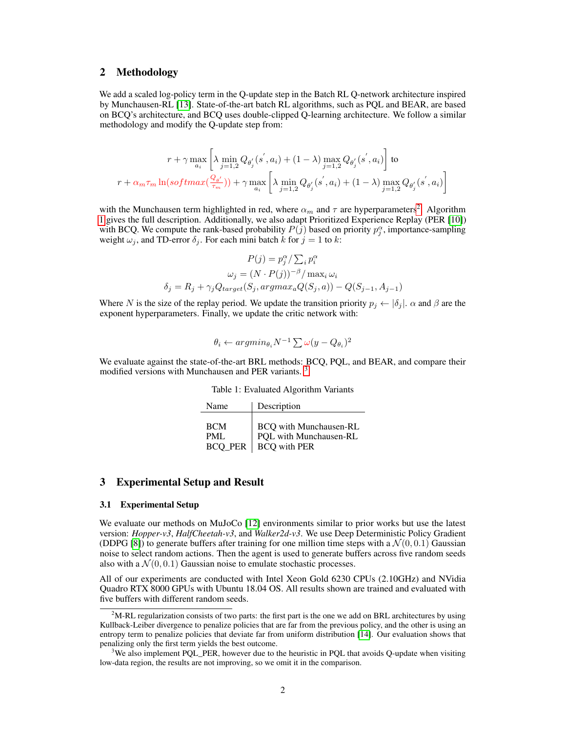# 2 Methodology

We add a scaled log-policy term in the Q-update step in the Batch RL Q-network architecture inspired by Munchausen-RL [\[13\]](#page-5-5). State-of-the-art batch RL algorithms, such as PQL and BEAR, are based on BCQ's architecture, and BCQ uses double-clipped Q-learning architecture. We follow a similar methodology and modify the Q-update step from:

$$
\label{eq: 3.1} \begin{split} r+\gamma\max_{a_i}\left[\lambda\min_{j=1,2}Q_{\theta_j'}(s^{'},a_i)+(1-\lambda)\max_{j=1,2}Q_{\theta_j'}(s^{'},a_i)\right]\text{ to}\\ r+\alpha_m\tau_m\ln(softmax(\frac{Q_{\theta'}}{\tau_m})) +\gamma\max_{a_i}\left[\lambda\min_{j=1,2}Q_{\theta_j'}(s^{'},a_i)+(1-\lambda)\max_{j=1,2}Q_{\theta_j'}(s^{'},a_i)\right] \end{split}
$$

with the Munchausen term highlighted in red, where  $\alpha_m$  and  $\tau$  are hyperparameters<sup>[2](#page-1-0)</sup>. Algorithm [1](#page-2-0) gives the full description. Additionally, we also adapt Prioritized Experience Replay (PER [\[10\]](#page-5-6)) with BCQ. We compute the rank-based probability  $P(j)$  based on priority  $p_j^{\alpha}$ , importance-sampling weight  $\omega_j$ , and TD-error  $\delta_j$ . For each mini batch k for  $j = 1$  to k:

$$
P(j) = p_j^{\alpha} / \sum_i p_i^{\alpha}
$$

$$
\omega_j = (N \cdot P(j))^{-\beta} / \max_i \omega_i
$$

$$
\delta_j = R_j + \gamma_j Q_{target}(S_j, argmax_a Q(S_j, a)) - Q(S_{j-1}, A_{j-1})
$$

Where N is the size of the replay period. We update the transition priority  $p_j \leftarrow |\delta_j|$ .  $\alpha$  and  $\beta$  are the exponent hyperparameters. Finally, we update the critic network with:

$$
\theta_i \leftarrow argmin_{\theta_i} N^{-1} \sum \omega(y - Q_{\theta_i})^2
$$

We evaluate against the state-of-the-art BRL methods: BCQ, PQL, and BEAR, and compare their modified versions with Munchausen and PER variants.<sup>[3](#page-1-1)</sup>

Table 1: Evaluated Algorithm Variants

| Name           | Description                   |
|----------------|-------------------------------|
| <b>BCM</b>     | <b>BCQ</b> with Munchausen-RL |
| PML            | POL with Munchausen-RL        |
| <b>BCO PER</b> | <b>BCQ</b> with PER           |

# 3 Experimental Setup and Result

#### 3.1 Experimental Setup

We evaluate our methods on MuJoCo [\[12\]](#page-5-7) environments similar to prior works but use the latest version: *Hopper-v3*, *HalfCheetah-v3*, and *Walker2d-v3*. We use Deep Deterministic Policy Gradient (DDPG [\[8\]](#page-5-8)) to generate buffers after training for one million time steps with a  $\mathcal{N}(0, 0.1)$  Gaussian noise to select random actions. Then the agent is used to generate buffers across five random seeds also with a  $\mathcal{N}(0, 0.1)$  Gaussian noise to emulate stochastic processes.

All of our experiments are conducted with Intel Xeon Gold 6230 CPUs (2.10GHz) and NVidia Quadro RTX 8000 GPUs with Ubuntu 18.04 OS. All results shown are trained and evaluated with five buffers with different random seeds.

<span id="page-1-0"></span> $2<sup>2</sup>M-RL$  regularization consists of two parts: the first part is the one we add on BRL architectures by using Kullback-Leiber divergence to penalize policies that are far from the previous policy, and the other is using an entropy term to penalize policies that deviate far from uniform distribution [\[14\]](#page-5-9). Our evaluation shows that penalizing only the first term yields the best outcome.

<span id="page-1-1"></span><sup>&</sup>lt;sup>3</sup>We also implement PQL\_PER, however due to the heuristic in PQL that avoids Q-update when visiting low-data region, the results are not improving, so we omit it in the comparison.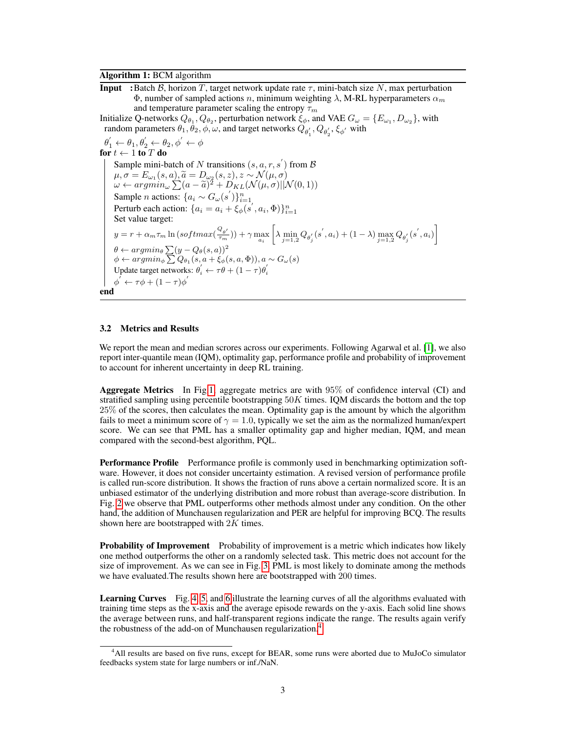#### Algorithm 1: BCM algorithm

**Input** :Batch B, horizon T, target network update rate  $\tau$ , mini-batch size N, max perturbation Φ, number of sampled actions *n*, minimum weighting  $\lambda$ , M-RL hyperparameters  $\alpha_m$ and temperature parameter scaling the entropy  $\tau_m$ 

Initialize Q-networks  $Q_{\theta_1}, Q_{\theta_2}$ , perturbation network  $\xi_{\phi}$ , and VAE  $G_{\omega} = \{E_{\omega_1}, D_{\omega_2}\}$ , with random parameters  $\theta_1, \theta_2, \phi, \omega$ , and target networks  $Q_{\theta'_1}, Q_{\theta'_2}, \xi_{\phi'}$  with

 $\theta_1' \leftarrow \theta_1, \theta_2' \leftarrow \theta_2, \phi' \leftarrow \phi$ for  $t \leftarrow 1$  to  $T$  do Sample mini-batch of N transitions  $(s, a, r, s')$  from B  $\mu, \sigma = E_{\omega_1}(s, a), \tilde{a} = D_{\omega_2}(s, z), z \sim \mathcal{N}(\mu, \sigma)$ <br>  $\omega \leftarrow argmin \sum_{\alpha = \tilde{\sigma}}^{\tilde{\sigma}} (a - \tilde{\sigma})^2 + D_{KL}(\mathcal{N}(\mu, \sigma))$  $\omega \leftarrow argmin_{\omega} \sum_{\alpha} (a - \tilde{a})^2 + D_{KL}(\mathcal{N}(\mu, \sigma)||\mathcal{N}(0, 1))$ Sample *n* actions:  $\{a_i \sim G_\omega(s')\}_{i=1}^n$ Perturb each action:  $\{a_i = a_i + \xi_{\phi}(s', a_i, \Phi)\}_{i=1}^n$ Ferturb each action.  $\{a_i = a_i + \zeta_{\phi}(s_i, a_i, \Psi)\}_{i=1}$ <br>Set value target:  $y = r + \alpha_m \tau_m \ln(softmax(\frac{Q_{\theta'}}{\tau_m}))$  $(\frac{a_{\theta'}}{\tau_m})$ ) +  $\gamma \max_{a_i}$  $\left[\lambda \min_{j=1,2} Q_{\theta'_j}(s', a_i) + (1-\lambda) \max_{j=1,2} Q_{\theta'_j}(s', a_i)\right]$  $\theta \leftarrow argmin_{\theta} \sum (y - Q_{\theta}(s, a))^2$  $\phi \leftarrow argmin_{\phi} \sum Q_{\theta_1}(s, a + \xi_{\phi}(s, a, \Phi)), a \sim G_{\omega}(s)$ Update target networks:  $\theta_i' \leftarrow \tau \theta + (1 - \tau) \theta_i'$  $\phi^{'} \leftarrow \tau \phi + (1 - \tau) \phi^{'}$ end

#### <span id="page-2-0"></span>3.2 Metrics and Results

We report the mean and median scrores across our experiments. Following Agarwal et al. [\[1\]](#page-4-0), we also report inter-quantile mean (IQM), optimality gap, performance profile and probability of improvement to account for inherent uncertainty in deep RL training.

Aggregate Metrics In Fig[.1,](#page-3-0) aggregate metrics are with 95% of confidence interval (CI) and stratified sampling using percentile bootstrapping  $50K$  times. IQM discards the bottom and the top 25% of the scores, then calculates the mean. Optimality gap is the amount by which the algorithm fails to meet a minimum score of  $\gamma = 1.0$ , typically we set the aim as the normalized human/expert score. We can see that PML has a smaller optimality gap and higher median, IQM, and mean compared with the second-best algorithm, PQL.

Performance Profile Performance profile is commonly used in benchmarking optimization software. However, it does not consider uncertainty estimation. A revised version of performance profile is called run-score distribution. It shows the fraction of runs above a certain normalized score. It is an unbiased estimator of the underlying distribution and more robust than average-score distribution. In Fig. [2](#page-3-1) we observe that PML outperforms other methods almost under any condition. On the other hand, the addition of Munchausen regularization and PER are helpful for improving BCQ. The results shown here are bootstrapped with  $2K$  times.

**Probability of Improvement** Probability of improvement is a metric which indicates how likely one method outperforms the other on a randomly selected task. This metric does not account for the size of improvement. As we can see in Fig. [3,](#page-3-2) PML is most likely to dominate among the methods we have evaluated.The results shown here are bootstrapped with 200 times.

Learning Curves Fig. [4,](#page-4-1) [5,](#page-4-2) and [6](#page-4-3) illustrate the learning curves of all the algorithms evaluated with training time steps as the x-axis and the average episode rewards on the y-axis. Each solid line shows the average between runs, and half-transparent regions indicate the range. The results again verify the robustness of the add-on of Munchausen regularization.[4](#page-2-1)

<span id="page-2-1"></span><sup>4</sup>All results are based on five runs, except for BEAR, some runs were aborted due to MuJoCo simulator feedbacks system state for large numbers or inf./NaN.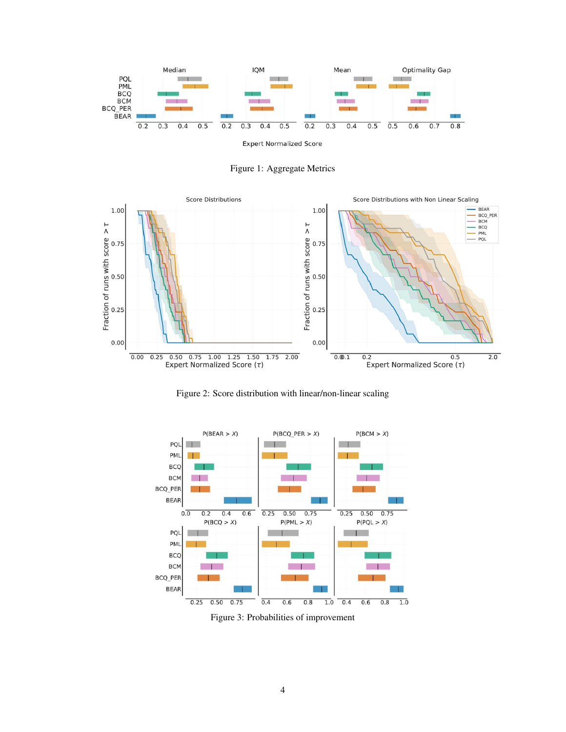

<span id="page-3-0"></span>Figure 1: Aggregate Metrics



<span id="page-3-1"></span>Figure 2: Score distribution with linear/non-linear scaling



<span id="page-3-2"></span>Figure 3: Probabilities of improvement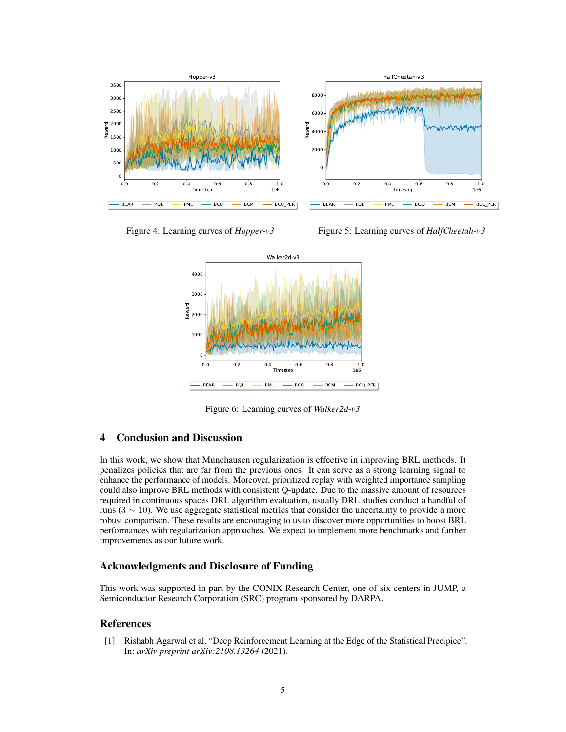

Figure 4: Learning curves of *Hopper-v3*

<span id="page-4-2"></span>Figure 5: Learning curves of *HalfCheetah-v3*

<span id="page-4-1"></span>

<span id="page-4-3"></span>Figure 6: Learning curves of *Walker2d-v3*

# 4 Conclusion and Discussion

In this work, we show that Munchausen regularization is effective in improving BRL methods. It penalizes policies that are far from the previous ones. It can serve as a strong learning signal to enhance the performance of models. Moreover, prioritized replay with weighted importance sampling could also improve BRL methods with consistent Q-update. Due to the massive amount of resources required in continuous spaces DRL algorithm evaluation, usually DRL studies conduct a handful of runs (3  $\sim$  10). We use aggregate statistical metrics that consider the uncertainty to provide a more robust comparison. These results are encouraging to us to discover more opportunities to boost BRL performances with regularization approaches. We expect to implement more benchmarks and further improvements as our future work.

# Acknowledgments and Disclosure of Funding

This work was supported in part by the CONIX Research Center, one of six centers in JUMP, a Semiconductor Research Corporation (SRC) program sponsored by DARPA.

# References

<span id="page-4-0"></span>[1] Rishabh Agarwal et al. "Deep Reinforcement Learning at the Edge of the Statistical Precipice". In: *arXiv preprint arXiv:2108.13264* (2021).